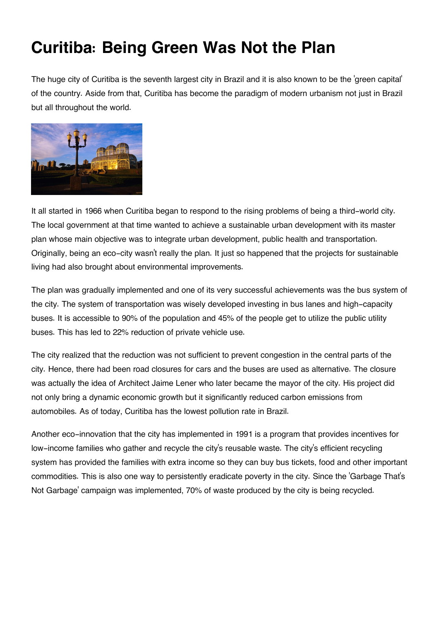## **Curitiba: Being Green Was Not the Plan**

The huge city of Curitiba is the seventh largest city in Brazil and it is also known to be the 'green capital' of the country. Aside from that, Curitiba has become the paradigm of modern urbanism not just in Brazil but all throughout the world.



It all started in 1966 when Curitiba began to respond to the rising problems of being a third-world city. The local government at that time wanted to achieve a sustainable urban development with its master plan whose main objective was to integrate urban development, public health and transportation. Originally, being an eco-city wasn't really the plan. It just so happened that the projects for sustainable living had also brought about environmental improvements.

The plan was gradually implemented and one of its very successful achievements was the bus system of the city. The system of transportation was wisely developed investing in bus lanes and high-capacity buses. It is accessible to 90% of the population and 45% of the people get to utilize the public utility buses. This has led to 22% reduction of private vehicle use.

The city realized that the reduction was not sufficient to prevent congestion in the central parts of the city. Hence, there had been road closures for cars and the buses are used as alternative. The closure was actually the idea of Architect Jaime Lener who later became the mayor of the city. His project did not only bring a dynamic economic growth but it significantly reduced carbon emissions from automobiles. As of today, Curitiba has the lowest pollution rate in Brazil.

Another eco-innovation that the city has implemented in 1991 is a program that provides incentives for low-income families who gather and recycle the city's reusable waste. The city's efficient recycling system has provided the families with extra income so they can buy bus tickets, food and other important commodities. This is also one way to persistently eradicate poverty in the city. Since the 'Garbage That's Not Garbage' campaign was implemented, 70% of waste produced by the city is being recycled.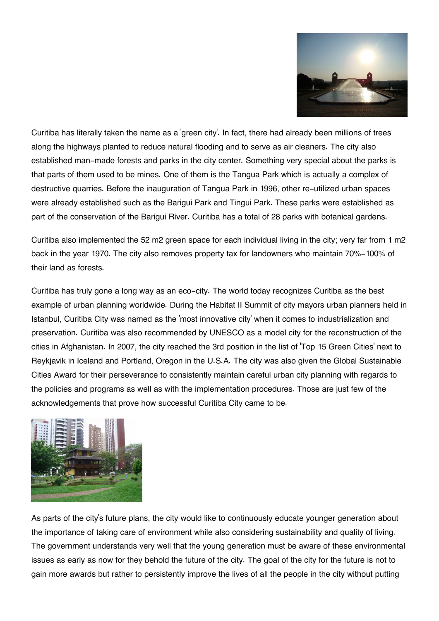

Curitiba has literally taken the name as a 'green city'. In fact, there had already been millions of trees along the highways planted to reduce natural flooding and to serve as air cleaners. The city also established man-made forests and parks in the city center. Something very special about the parks is that parts of them used to be mines. One of them is the Tangua Park which is actually a complex of destructive quarries. Before the inauguration of Tangua Park in 1996, other re-utilized urban spaces were already established such as the Barigui Park and Tingui Park. These parks were established as part of the conservation of the Barigui River. Curitiba has a total of 28 parks with botanical gardens.

Curitiba also implemented the 52 m2 green space for each individual living in the city; very far from 1 m2 back in the year 1970. The city also removes property tax for landowners who maintain 70%-100% of their land as forests.

Curitiba has truly gone a long way as an eco-city. The world today recognizes Curitiba as the best example of urban planning worldwide. During the Habitat II Summit of city mayors urban planners held in Istanbul, Curitiba City was named as the 'most innovative city' when it comes to industrialization and preservation. Curitiba was also recommended by UNESCO as a model city for the reconstruction of the cities in Afghanistan. In 2007, the city reached the 3rd position in the list of 'Top 15 Green Cities' next to Reykjavik in Iceland and Portland, Oregon in the U.S.A. The city was also given the Global Sustainable Cities Award for their perseverance to consistently maintain careful urban city planning with regards to the policies and programs as well as with the implementation procedures. Those are just few of the acknowledgements that prove how successful Curitiba City came to be.



As parts of the city's future plans, the city would like to continuously educate younger generation about the importance of taking care of environment while also considering sustainability and quality of living. The government understands very well that the young generation must be aware of these environmental issues as early as now for they behold the future of the city. The goal of the city for the future is not to gain more awards but rather to persistently improve the lives of all the people in the city without putting